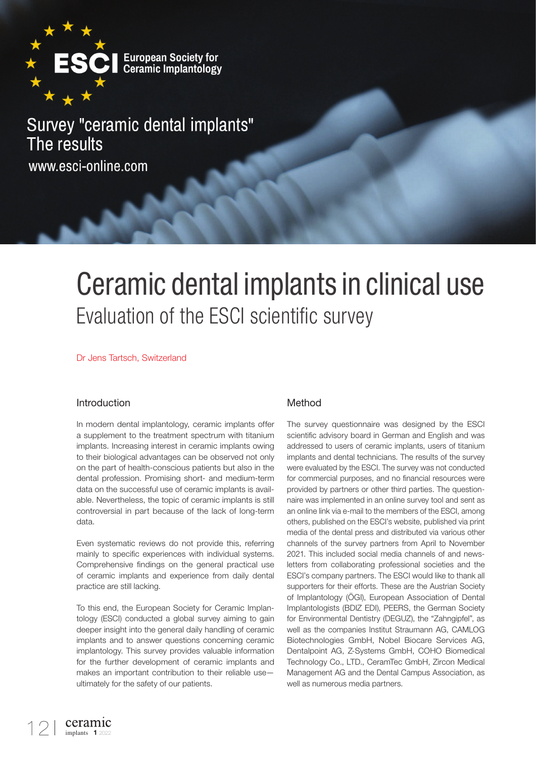

# Survey "ceramic dental implants" The results www.esci-online.com

# Ceramic dental implants in clinical use Evaluation of the ESCI scientific survey

Dr Jens Tartsch, Switzerland

## Introduction

In modern dental implantology, ceramic implants offer a supplement to the treatment spectrum with titanium implants. Increasing interest in ceramic implants owing to their biological advantages can be observed not only on the part of health-conscious patients but also in the dental profession. Promising short- and medium-term data on the successful use of ceramic implants is available. Nevertheless, the topic of ceramic implants is still controversial in part because of the lack of long-term data.

Even systematic reviews do not provide this, referring mainly to specific experiences with individual systems. Comprehensive findings on the general practical use of ceramic implants and experience from daily dental practice are still lacking.

To this end, the European Society for Ceramic Implantology (ESCI) conducted a global survey aiming to gain deeper insight into the general daily handling of ceramic implants and to answer questions concerning ceramic implantology. This survey provides valuable information for the further development of ceramic implants and makes an important contribution to their reliable use ultimately for the safety of our patients.

## Method

The survey questionnaire was designed by the ESCI scientific advisory board in German and English and was addressed to users of ceramic implants, users of titanium implants and dental technicians. The results of the survey were evaluated by the ESCI. The survey was not conducted for commercial purposes, and no financial resources were provided by partners or other third parties. The questionnaire was implemented in an online survey tool and sent as an online link via e-mail to the members of the ESCI, among others, published on the ESCI's website, published via print media of the dental press and distributed via various other channels of the survey partners from April to November 2021. This included social media channels of and newsletters from collaborating professional societies and the ESCI's company partners. The ESCI would like to thank all supporters for their efforts. These are the Austrian Society of Implantology (ÖGI), European Association of Dental Implantologists (BDIZ EDI), PEERS, the German Society for Environmental Dentistry (DEGUZ), the "Zahngipfel", as well as the companies Institut Straumann AG, CAMLOG Biotechnologies GmbH, Nobel Biocare Services AG, Dentalpoint AG, Z-Systems GmbH, COHO Biomedical Technology Co., LTD., CeramTec GmbH, Zircon Medical Management AG and the Dental Campus Association, as well as numerous media partners.